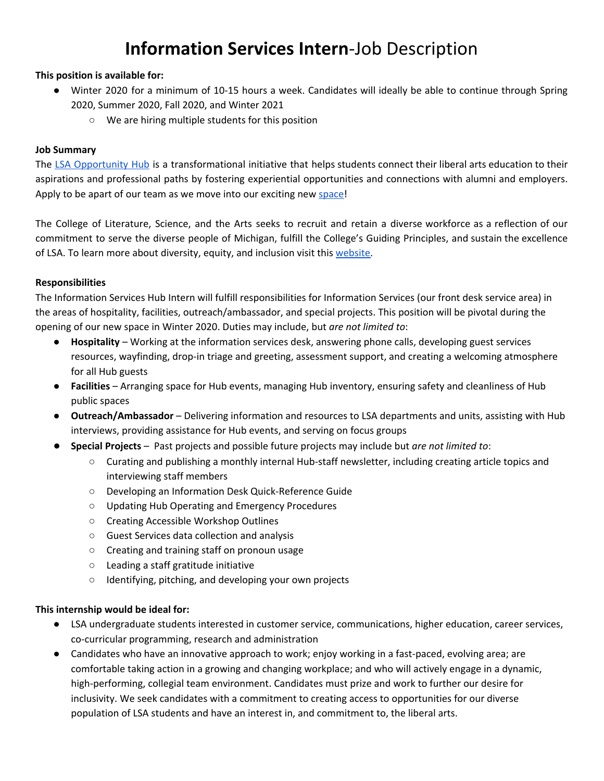# **Information Services Intern**-Job Description

#### **This position is available for:**

- Winter 2020 for a minimum of 10-15 hours a week. Candidates will ideally be able to continue through Spring 2020, Summer 2020, Fall 2020, and Winter 2021
	- We are hiring multiple students for this position

#### **Job Summary**

The LSA [Opportunity](https://lsa.umich.edu/opportunityhub) Hub is a transformational initiative that helps students connect their liberal arts education to their aspirations and professional paths by fostering experiential opportunities and connections with alumni and employers. Apply to be apart of our team as we move into our exciting new [space!](https://lsa.umich.edu/opportunityhub/about-us/building-designs.html)

The College of Literature, Science, and the Arts seeks to recruit and retain a diverse workforce as a reflection of our commitment to serve the diverse people of Michigan, fulfill the College's Guiding Principles, and sustain the excellence of LSA. To learn more about diversity, equity, and inclusion visit this [website.](http://lsa.umich.edu/lsa/about/diversity--equity-and-inclusion.html)

#### **Responsibilities**

The Information Services Hub Intern will fulfill responsibilities for Information Services (our front desk service area) in the areas of hospitality, facilities, outreach/ambassador, and special projects. This position will be pivotal during the opening of our new space in Winter 2020. Duties may include, but *are not limited to*:

- **Hospitality** Working at the information services desk, answering phone calls, developing guest services resources, wayfinding, drop-in triage and greeting, assessment support, and creating a welcoming atmosphere for all Hub guests
- **Facilities** Arranging space for Hub events, managing Hub inventory, ensuring safety and cleanliness of Hub public spaces
- **Outreach/Ambassador** Delivering information and resources to LSA departments and units, assisting with Hub interviews, providing assistance for Hub events, and serving on focus groups
- **Special Projects** Past projects and possible future projects may include but *are not limited to*:
	- Curating and publishing a monthly internal Hub-staff newsletter, including creating article topics and interviewing staff members
	- Developing an Information Desk Quick-Reference Guide
	- Updating Hub Operating and Emergency Procedures
	- Creating Accessible Workshop Outlines
	- Guest Services data collection and analysis
	- Creating and training staff on pronoun usage
	- Leading a staff gratitude initiative
	- Identifying, pitching, and developing your own projects

#### **This internship would be ideal for:**

- LSA undergraduate students interested in customer service, communications, higher education, career services, co-curricular programming, research and administration
- Candidates who have an innovative approach to work; enjoy working in a fast-paced, evolving area; are comfortable taking action in a growing and changing workplace; and who will actively engage in a dynamic, high-performing, collegial team environment. Candidates must prize and work to further our desire for inclusivity. We seek candidates with a commitment to creating access to opportunities for our diverse population of LSA students and have an interest in, and commitment to, the liberal arts.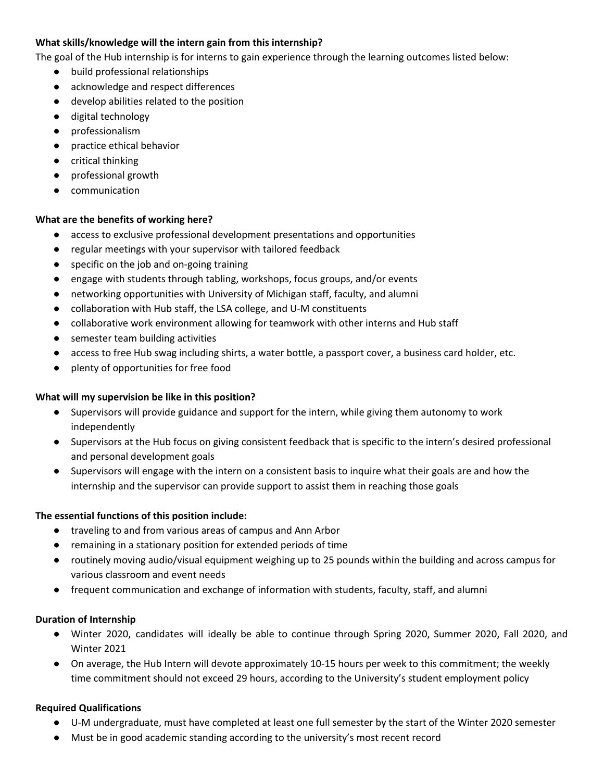## **What skills/knowledge will the intern gain from this internship?**

The goal of the Hub internship is for interns to gain experience through the learning outcomes listed below:

- build professional relationships
- acknowledge and respect differences
- develop abilities related to the position
- digital technology
- professionalism
- practice ethical behavior
- critical thinking
- professional growth
- communication

## **What are the benefits of working here?**

- access to exclusive professional development presentations and opportunities
- regular meetings with your supervisor with tailored feedback
- specific on the job and on-going training
- engage with students through tabling, workshops, focus groups, and/or events
- networking opportunities with University of Michigan staff, faculty, and alumni
- collaboration with Hub staff, the LSA college, and U-M constituents
- collaborative work environment allowing for teamwork with other interns and Hub staff
- semester team building activities
- access to free Hub swag including shirts, a water bottle, a passport cover, a business card holder, etc.
- plenty of opportunities for free food

#### **What will my supervision be like in this position?**

- Supervisors will provide guidance and support for the intern, while giving them autonomy to work independently
- Supervisors at the Hub focus on giving consistent feedback that is specific to the intern's desired professional and personal development goals
- Supervisors will engage with the intern on a consistent basis to inquire what their goals are and how the internship and the supervisor can provide support to assist them in reaching those goals

#### **The essential functions of this position include:**

- traveling to and from various areas of campus and Ann Arbor
- remaining in a stationary position for extended periods of time
- routinely moving audio/visual equipment weighing up to 25 pounds within the building and across campus for various classroom and event needs
- frequent communication and exchange of information with students, faculty, staff, and alumni

#### **Duration of Internship**

- Winter 2020, candidates will ideally be able to continue through Spring 2020, Summer 2020, Fall 2020, and Winter 2021
- On average, the Hub Intern will devote approximately 10-15 hours per week to this commitment; the weekly time commitment should not exceed 29 hours, according to the University's student employment policy

# **Required Qualifications**

- U-M undergraduate, must have completed at least one full semester by the start of the Winter 2020 semester
- Must be in good academic standing according to the university's most recent record